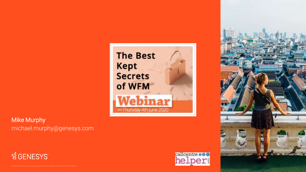

Mike Murphy michael.murphy@genesys.com





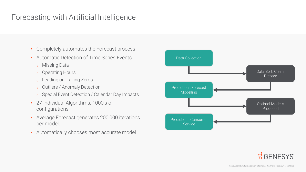### Forecasting with Artificial Intelligence

- Completely automates the Forecast process
- Automatic Detection of Time Series Events
	- <sup>o</sup> Missing Data
	- <sup>o</sup> Operating Hours
	- <sup>o</sup> Leading or Trailing Zeros
	- <sup>o</sup> Outliers / Anomaly Detection
	- o Special Event Detection / Calendar Day Impacts
- 27 Individual Algorithms, 1000's of configurations
- Average Forecast generates 200,000 iterations per model.
- Automatically chooses most accurate model



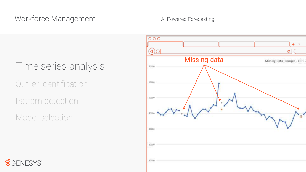# Outlier identification Time series analysis

Pattern detection

Model selection

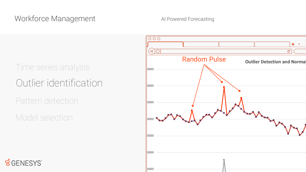# Outlier identification Time series analysis

Pattern detection

Model selection

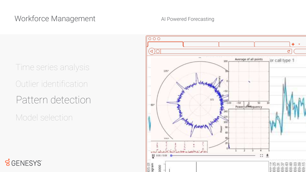Outlier identification Pattern detection Model selection Time series analysis

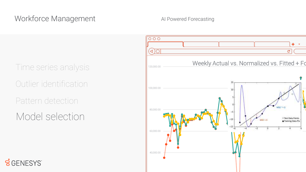Outlier identification Pattern detection Time series analysis

Model selection

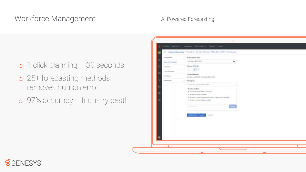- o 1 click planning 30 seconds
- o 25+ forecasting methods removes human error
- o 97% accuracy Industry best!

| <b>Transference</b>              | 1 Forested Start Week                                                                                                                                                                                                                                                                                                                                                                                                                                           |  |
|----------------------------------|-----------------------------------------------------------------------------------------------------------------------------------------------------------------------------------------------------------------------------------------------------------------------------------------------------------------------------------------------------------------------------------------------------------------------------------------------------------------|--|
| ŵ<br><b>Start Tent Permanent</b> | Merchan 34 EVIDIO COMMUNIST                                                                                                                                                                                                                                                                                                                                                                                                                                     |  |
| o<br>School and                  | <b>Linkshore</b><br><b>Rentine Of Meeks</b>                                                                                                                                                                                                                                                                                                                                                                                                                     |  |
|                                  | All Service Printers and Lake<br>$\begin{array}{cc} 0 & \frac{1}{2} \left( \frac{1}{2} \right) & 0 \\ 0 & \frac{1}{2} \left( \frac{1}{2} \right) & 0 \\ 0 & \frac{1}{2} \left( \frac{1}{2} \right) & 0 \\ 0 & \frac{1}{2} \left( \frac{1}{2} \right) & 0 \\ 0 & \frac{1}{2} \left( \frac{1}{2} \right) & 0 \\ 0 & \frac{1}{2} \left( \frac{1}{2} \right) & 0 \\ 0 & \frac{1}{2} \left( \frac{1}{2} \right) & 0 \\ 0 & \frac{1}{2} \left( \frac{1}{2} \right) &$ |  |
| Time of Houses<br><b>CB</b>      | Foreverd Suitables<br><b>IN LOTE UNIT WAS</b>                                                                                                                                                                                                                                                                                                                                                                                                                   |  |
| SUR Trade                        | MANRA SAINTSMAN HALLMAN CERA COMP<br>THE R. P. LEWIS CO., LANSING, MICH.                                                                                                                                                                                                                                                                                                                                                                                        |  |
| τ<br>Parlamental                 | 11 A.C<br><b>Bascription</b>                                                                                                                                                                                                                                                                                                                                                                                                                                    |  |
| 亞                                | Daily facts in worst Description<br>businessments to the benefits of a manual state                                                                                                                                                                                                                                                                                                                                                                             |  |
|                                  | <b>Creation Method</b>                                                                                                                                                                                                                                                                                                                                                                                                                                          |  |
| ۰                                | in Automatic liked builded lakesher.<br>Il Wegmet Himstaf Index                                                                                                                                                                                                                                                                                                                                                                                                 |  |
|                                  | @ Weighted Historical Index with Divisio Data request January of 1.                                                                                                                                                                                                                                                                                                                                                                                             |  |
|                                  | III Wantfrailed field interaint                                                                                                                                                                                                                                                                                                                                                                                                                                 |  |
|                                  | <b>PERSONAL PROPERTY</b><br>E<br><b>Disk Screeners</b>                                                                                                                                                                                                                                                                                                                                                                                                          |  |
|                                  | the control of the control of the                                                                                                                                                                                                                                                                                                                                                                                                                               |  |
|                                  | Astation fore forcest<br><b>Direct</b>                                                                                                                                                                                                                                                                                                                                                                                                                          |  |
|                                  |                                                                                                                                                                                                                                                                                                                                                                                                                                                                 |  |
|                                  |                                                                                                                                                                                                                                                                                                                                                                                                                                                                 |  |
|                                  |                                                                                                                                                                                                                                                                                                                                                                                                                                                                 |  |
|                                  |                                                                                                                                                                                                                                                                                                                                                                                                                                                                 |  |
|                                  |                                                                                                                                                                                                                                                                                                                                                                                                                                                                 |  |

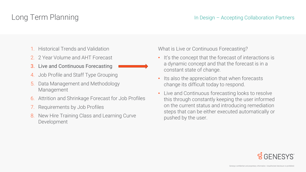- 1. Historical Trends and Validation
- 2. 2 Year Volume and AHT Forecast
- 3. Live and Continuous Forecasting
- 4. Job Profile and Staff Type Grouping
- 5. Data Management and Methodology Management
- 6. Attrition and Shrinkage Forecast for Job Profiles
- 7. Requirements by Job Profiles
- 8. New Hire Training Class and Learning Curve Development

What is Live or Continuous Forecasting?

- It's the concept that the forecast of interactions is a dynamic concept and that the forecast is in a constant state of change.
- Its also the appreciation that when forecasts change its difficult today to respond.
- Live and Continuous forecasting looks to resolve this through constantly keeping the user informed on the current status and introducing remediation steps that can be either executed automatically or pushed by the user.

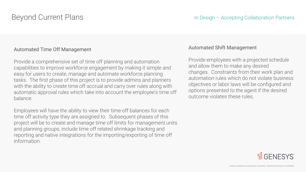#### Automated Time Off Management

Provide a comprehensive set of time off planning and automation capabilities to improve workforce engagement by making it simple and easy for users to create, manage and automate workforce planning tasks. The first phase of this project is to provide admins and planners with the ability to create time off accrual and carry over rules along with automatic approval rules which take into account the employee's time off balance.

Employees will have the ability to view their time off balances for each time off activity type they are assigned to. Subsequent phases of this project will be to create and manage time off limits for management units and planning groups, include time off related shrinkage tracking and reporting and native integrations for the importing/exporting of time off information.

#### Automated Shift Management

Provide employees with a projected schedule and allow them to make any desired changes. Constraints from their work plan and automation rules which do not violate business objectives or labor laws will be configured and options presented to the agent if the desired outcome violates these rules.

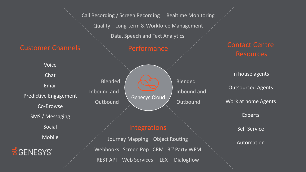Call Recording / Screen Recording Realtime Monitoring

Quality Long-term & Workforce Management

Data, Speech and Text Analytics

#### Customer Channels

Voice

Chat

Email Predictive Engagement

Co-Browse

SMS / Messaging

Social

Mobile



Blended Inbound and **Outbound** Blended Inbound and **Outbound Genesys Cloud** 

#### **Integrations**

Journey Mapping Object Routing Webhooks Screen Pop CRM 3rd Party WFM REST API Web Services LEX Dialogflow

### Contact Centre **Resources**

In house agents Outsourced Agents Work at home Agents

Experts

Self Service

Automation